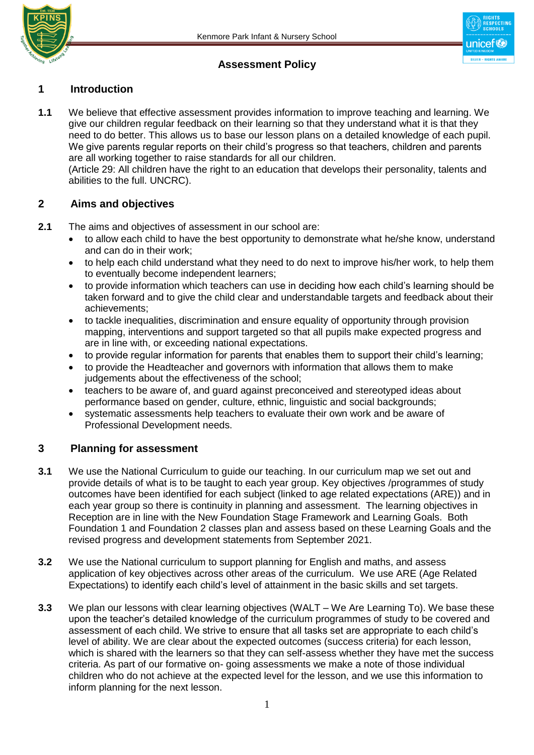

## **Assessment Policy**

## **1 Introduction**

**1.1** We believe that effective assessment provides information to improve teaching and learning. We give our children regular feedback on their learning so that they understand what it is that they need to do better. This allows us to base our lesson plans on a detailed knowledge of each pupil. We give parents regular reports on their child's progress so that teachers, children and parents are all working together to raise standards for all our children.

 (Article 29: All children have the right to an education that develops their personality, talents and abilities to the full. UNCRC).

#### **2 Aims and objectives**

- **2.1** The aims and objectives of assessment in our school are:
	- to allow each child to have the best opportunity to demonstrate what he/she know, understand and can do in their work;
	- to help each child understand what they need to do next to improve his/her work, to help them to eventually become independent learners;
	- to provide information which teachers can use in deciding how each child's learning should be taken forward and to give the child clear and understandable targets and feedback about their achievements;
	- to tackle inequalities, discrimination and ensure equality of opportunity through provision mapping, interventions and support targeted so that all pupils make expected progress and are in line with, or exceeding national expectations.
	- to provide regular information for parents that enables them to support their child's learning;
	- to provide the Headteacher and governors with information that allows them to make judgements about the effectiveness of the school;
	- teachers to be aware of, and guard against preconceived and stereotyped ideas about performance based on gender, culture, ethnic, linguistic and social backgrounds;
	- systematic assessments help teachers to evaluate their own work and be aware of Professional Development needs.

#### **3 Planning for assessment**

- **3.1** We use the National Curriculum to guide our teaching. In our curriculum map we set out and provide details of what is to be taught to each year group. Key objectives /programmes of study outcomes have been identified for each subject (linked to age related expectations (ARE)) and in each year group so there is continuity in planning and assessment. The learning objectives in Reception are in line with the New Foundation Stage Framework and Learning Goals. Both Foundation 1 and Foundation 2 classes plan and assess based on these Learning Goals and the revised progress and development statements from September 2021.
- **3.2** We use the National curriculum to support planning for English and maths, and assess application of key objectives across other areas of the curriculum. We use ARE (Age Related Expectations) to identify each child's level of attainment in the basic skills and set targets.
- **3.3** We plan our lessons with clear learning objectives (WALT We Are Learning To). We base these upon the teacher's detailed knowledge of the curriculum programmes of study to be covered and assessment of each child. We strive to ensure that all tasks set are appropriate to each child's level of ability. We are clear about the expected outcomes (success criteria) for each lesson, which is shared with the learners so that they can self-assess whether they have met the success criteria. As part of our formative on- going assessments we make a note of those individual children who do not achieve at the expected level for the lesson, and we use this information to inform planning for the next lesson.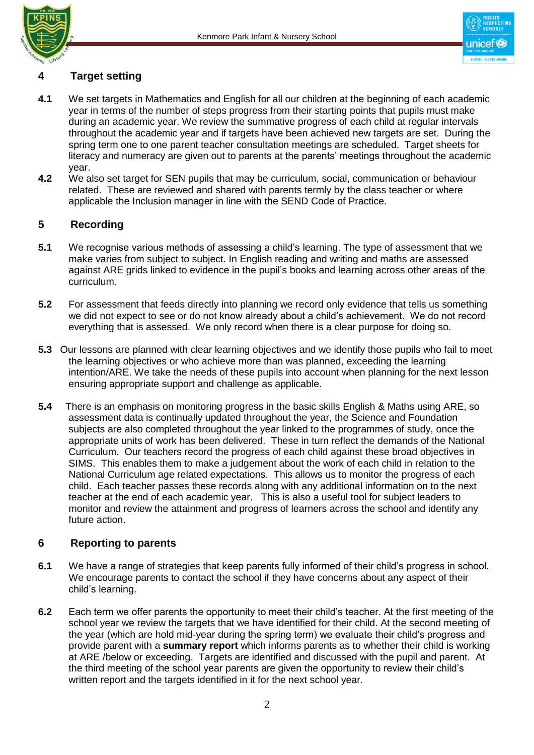



# **4 Target setting**

- **4.1** We set targets in Mathematics and English for all our children at the beginning of each academic year in terms of the number of steps progress from their starting points that pupils must make during an academic year. We review the summative progress of each child at regular intervals throughout the academic year and if targets have been achieved new targets are set. During the spring term one to one parent teacher consultation meetings are scheduled. Target sheets for literacy and numeracy are given out to parents at the parents' meetings throughout the academic year.
- **4.2** We also set target for SEN pupils that may be curriculum, social, communication or behaviour related. These are reviewed and shared with parents termly by the class teacher or where applicable the Inclusion manager in line with the SEND Code of Practice.

## **5 Recording**

- **5.1** We recognise various methods of assessing a child's learning. The type of assessment that we make varies from subject to subject. In English reading and writing and maths are assessed against ARE grids linked to evidence in the pupil's books and learning across other areas of the curriculum.
- **5.2** For assessment that feeds directly into planning we record only evidence that tells us something we did not expect to see or do not know already about a child's achievement. We do not record everything that is assessed. We only record when there is a clear purpose for doing so.
- **5.3** Our lessons are planned with clear learning objectives and we identify those pupils who fail to meet the learning objectives or who achieve more than was planned, exceeding the learning intention/ARE. We take the needs of these pupils into account when planning for the next lesson ensuring appropriate support and challenge as applicable.
- **5.4** There is an emphasis on monitoring progress in the basic skills English & Maths using ARE, so assessment data is continually updated throughout the year, the Science and Foundation subjects are also completed throughout the year linked to the programmes of study, once the appropriate units of work has been delivered. These in turn reflect the demands of the National Curriculum. Our teachers record the progress of each child against these broad objectives in SIMS. This enables them to make a judgement about the work of each child in relation to the National Curriculum age related expectations. This allows us to monitor the progress of each child. Each teacher passes these records along with any additional information on to the next teacher at the end of each academic year. This is also a useful tool for subject leaders to monitor and review the attainment and progress of learners across the school and identify any future action.

## **6 Reporting to parents**

- **6.1** We have a range of strategies that keep parents fully informed of their child's progress in school. We encourage parents to contact the school if they have concerns about any aspect of their child's learning.
- **6.2** Each term we offer parents the opportunity to meet their child's teacher. At the first meeting of the school year we review the targets that we have identified for their child. At the second meeting of the year (which are hold mid-year during the spring term) we evaluate their child's progress and provide parent with a **summary report** which informs parents as to whether their child is working at ARE /below or exceeding. Targets are identified and discussed with the pupil and parent. At the third meeting of the school year parents are given the opportunity to review their child's written report and the targets identified in it for the next school year.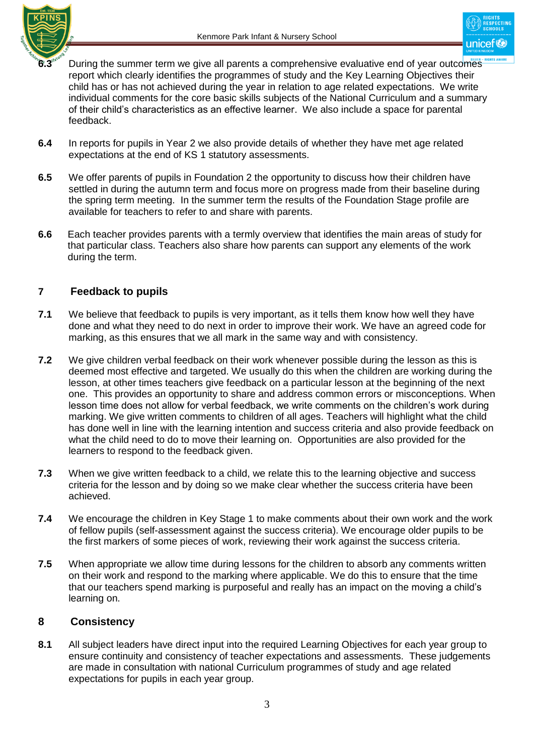



- During the summer term we give all parents a comprehensive evaluative end of year outcomes report which clearly identifies the programmes of study and the Key Learning Objectives their child has or has not achieved during the year in relation to age related expectations. We write individual comments for the core basic skills subjects of the National Curriculum and a summary of their child's characteristics as an effective learner. We also include a space for parental feedback.
- **6.4** In reports for pupils in Year 2 we also provide details of whether they have met age related expectations at the end of KS 1 statutory assessments.
- **6.5** We offer parents of pupils in Foundation 2 the opportunity to discuss how their children have settled in during the autumn term and focus more on progress made from their baseline during the spring term meeting. In the summer term the results of the Foundation Stage profile are available for teachers to refer to and share with parents.
- **6.6** Each teacher provides parents with a termly overview that identifies the main areas of study for that particular class. Teachers also share how parents can support any elements of the work during the term.

### **7 Feedback to pupils**

- **7.1** We believe that feedback to pupils is very important, as it tells them know how well they have done and what they need to do next in order to improve their work. We have an agreed code for marking, as this ensures that we all mark in the same way and with consistency.
- **7.2** We give children verbal feedback on their work whenever possible during the lesson as this is deemed most effective and targeted. We usually do this when the children are working during the lesson, at other times teachers give feedback on a particular lesson at the beginning of the next one. This provides an opportunity to share and address common errors or misconceptions. When lesson time does not allow for verbal feedback, we write comments on the children's work during marking. We give written comments to children of all ages. Teachers will highlight what the child has done well in line with the learning intention and success criteria and also provide feedback on what the child need to do to move their learning on. Opportunities are also provided for the learners to respond to the feedback given.
- **7.3** When we give written feedback to a child, we relate this to the learning objective and success criteria for the lesson and by doing so we make clear whether the success criteria have been achieved.
- **7.4** We encourage the children in Key Stage 1 to make comments about their own work and the work of fellow pupils (self-assessment against the success criteria). We encourage older pupils to be the first markers of some pieces of work, reviewing their work against the success criteria.
- **7.5** When appropriate we allow time during lessons for the children to absorb any comments written on their work and respond to the marking where applicable. We do this to ensure that the time that our teachers spend marking is purposeful and really has an impact on the moving a child's learning on.

#### **8 Consistency**

**8.1** All subject leaders have direct input into the required Learning Objectives for each year group to ensure continuity and consistency of teacher expectations and assessments. These judgements are made in consultation with national Curriculum programmes of study and age related expectations for pupils in each year group.